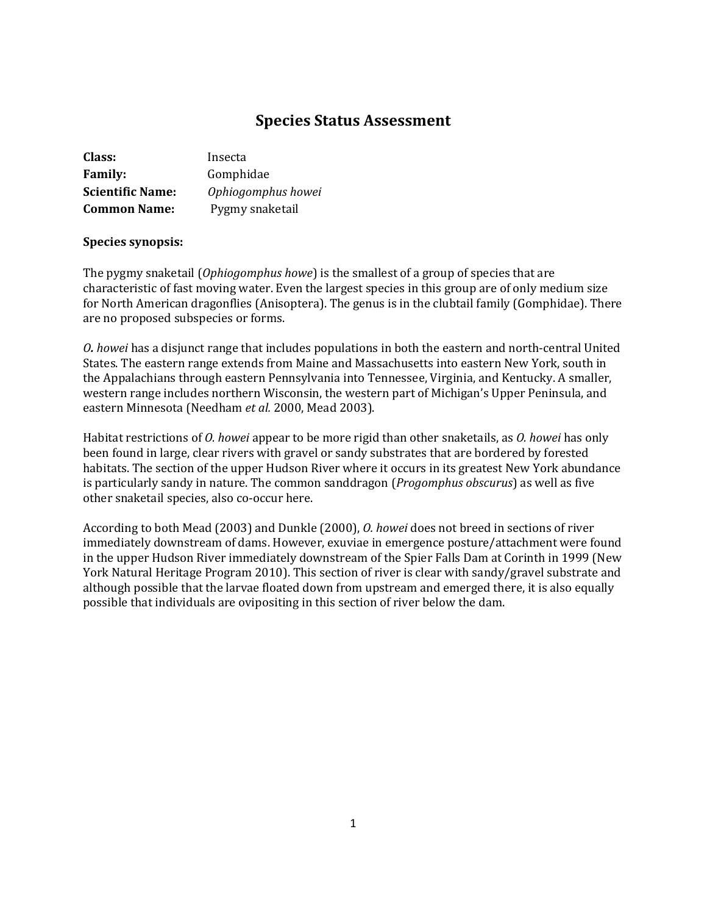# **Species Status Assessment**

| <b>Class:</b>           | Insecta            |
|-------------------------|--------------------|
| <b>Family:</b>          | Gomphidae          |
| <b>Scientific Name:</b> | Ophiogomphus howei |
| <b>Common Name:</b>     | Pygmy snaketail    |

### **Species synopsis:**

The pygmy snaketail (*Ophiogomphus howe*) is the smallest of a group of species that are characteristic of fast moving water. Even the largest species in this group are of only medium size for North American dragonflies (Anisoptera). The genus is in the clubtail family (Gomphidae). There are no proposed subspecies or forms.

*O. howei* has a disjunct range that includes populations in both the eastern and north-central United States. The eastern range extends from Maine and Massachusetts into eastern New York, south in the Appalachians through eastern Pennsylvania into Tennessee, Virginia, and Kentucky. A smaller, western range includes northern Wisconsin, the western part of Michigan's Upper Peninsula, and eastern Minnesota (Needham *et al.* 2000, Mead 2003).

Habitat restrictions of *O. howei* appear to be more rigid than other snaketails, as *O. howei* has only been found in large, clear rivers with gravel or sandy substrates that are bordered by forested habitats. The section of the upper Hudson River where it occurs in its greatest New York abundance is particularly sandy in nature. The common sanddragon (*Progomphus obscurus*) as well as five other snaketail species, also co-occur here.

According to both Mead (2003) and Dunkle (2000), *O. howei* does not breed in sections of river immediately downstream of dams. However, exuviae in emergence posture/attachment were found in the upper Hudson River immediately downstream of the Spier Falls Dam at Corinth in 1999 (New York Natural Heritage Program 2010). This section of river is clear with sandy/gravel substrate and although possible that the larvae floated down from upstream and emerged there, it is also equally possible that individuals are ovipositing in this section of river below the dam.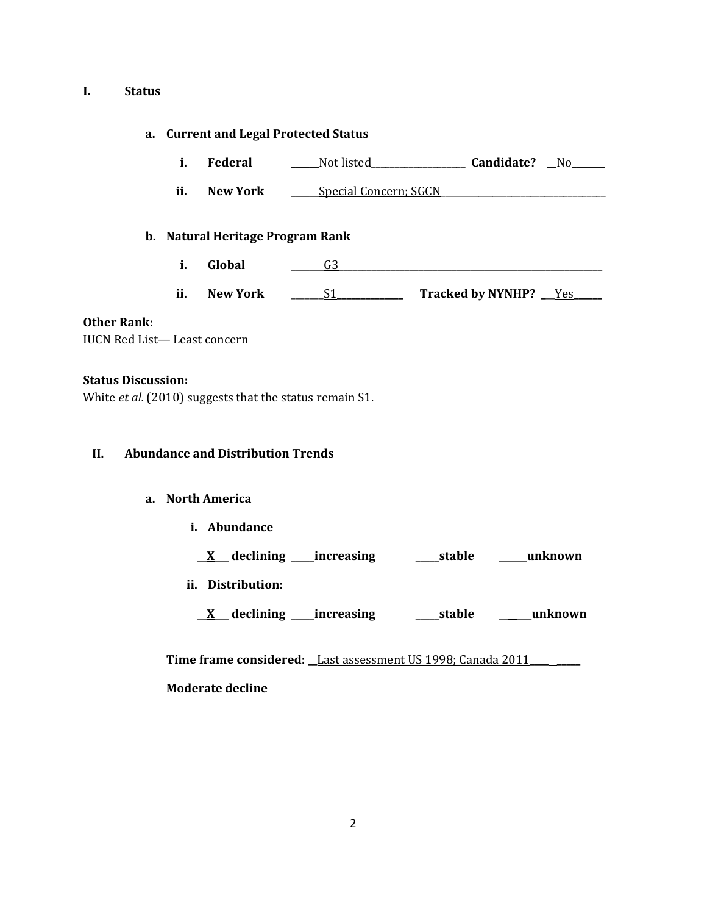#### **I. Status**

### **a. Current and Legal Protected Status**

- **i. Federal \_\_\_\_\_\_**Not listed\_\_\_\_\_\_\_\_\_\_\_\_\_\_\_\_\_\_\_\_ **Candidate? \_\_**No**\_\_\_\_\_\_\_**
- **ii. New York \_\_\_\_\_\_**Special Concern; SGCN\_\_\_\_\_\_\_\_\_\_\_\_\_\_\_\_\_\_\_\_\_\_\_\_\_\_\_\_\_\_\_\_\_\_\_

### **b. Natural Heritage Program Rank**

- **i. Global \_\_\_\_\_\_\_**G3**\_\_\_\_\_\_\_\_\_\_\_\_\_\_\_\_\_\_\_\_\_\_\_\_\_\_\_\_\_\_\_\_\_\_\_\_\_\_\_\_\_\_\_\_\_\_\_\_\_\_\_\_\_\_\_\_**
- **ii. New York** \_\_\_\_\_\_\_S1**\_\_\_\_\_\_\_\_\_\_\_\_\_\_ Tracked by NYNHP? \_**\_\_Yes**\_\_\_\_\_\_**

### **Other Rank:**

IUCN Red List— Least concern

### **Status Discussion:**

White *et al.* (2010) suggests that the status remain S1.

### **II. Abundance and Distribution Trends**

### **a. North America**

**i. Abundance**

**\_\_X\_\_\_ declining \_\_\_\_\_increasing \_\_\_\_\_stable \_\_\_\_\_\_unknown**

**ii. Distribution:**

**\_\_X\_\_\_ declining \_\_\_\_\_increasing \_\_\_\_\_stable \_\_\_\_\_\_\_unknown**

**Time frame considered: \_\_**Last assessment US 1998; Canada 2011**\_\_\_\_ \_\_\_\_\_ Moderate decline**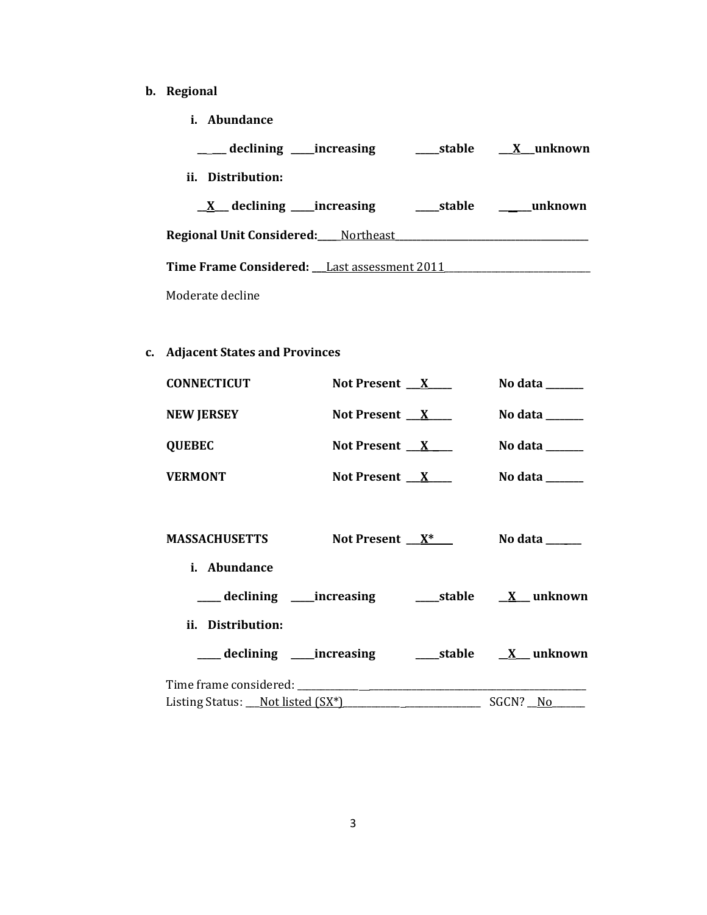- **b. Regional** 
	- **i. Abundance**

| declining _____increasing                          | stable X unknown |
|----------------------------------------------------|------------------|
| ii. Distribution:                                  |                  |
| $X$ declining increasing                           | stable unknown   |
| Regional Unit Considered: Mortheast                |                  |
| <b>Time Frame Considered:</b> Last assessment 2011 |                  |
| Moderate decline                                   |                  |

# **c. Adjacent States and Provinces**

| <b>CONNECTICUT</b><br>Not Present $X$ |                 | No data $\_\_\_\_\_\_\_\_\_\_\_\$                                                |
|---------------------------------------|-----------------|----------------------------------------------------------------------------------|
| <b>NEW JERSEY</b>                     | Not Present $X$ | No data $\_\_\_\_\_\_\_\_\_\_\_\_\_\_\_\_\_\_\_\_\_\_\_\_\_\_\_\_\_\_\_\_\_\_\_$ |
| <b>QUEBEC</b>                         | Not Present $X$ | No data $\_\_\_\_\_\_\_\_\_\_\_\_\_\_\_\_\_\_\_\_\_\_\_\_\_\_\_\_\_\_\_\_$       |
| <b>VERMONT</b>                        | Not Present $X$ | No data $\_\_\_\_\_\_\_\_\_\_\_\_\$                                              |
|                                       |                 |                                                                                  |
| MASSACHUSETTS                         |                 | Not Present $X^*$ No data _____                                                  |
| i. Abundance                          |                 |                                                                                  |
|                                       |                 |                                                                                  |
| ii. Distribution:                     |                 |                                                                                  |
|                                       |                 |                                                                                  |
|                                       |                 |                                                                                  |
|                                       |                 |                                                                                  |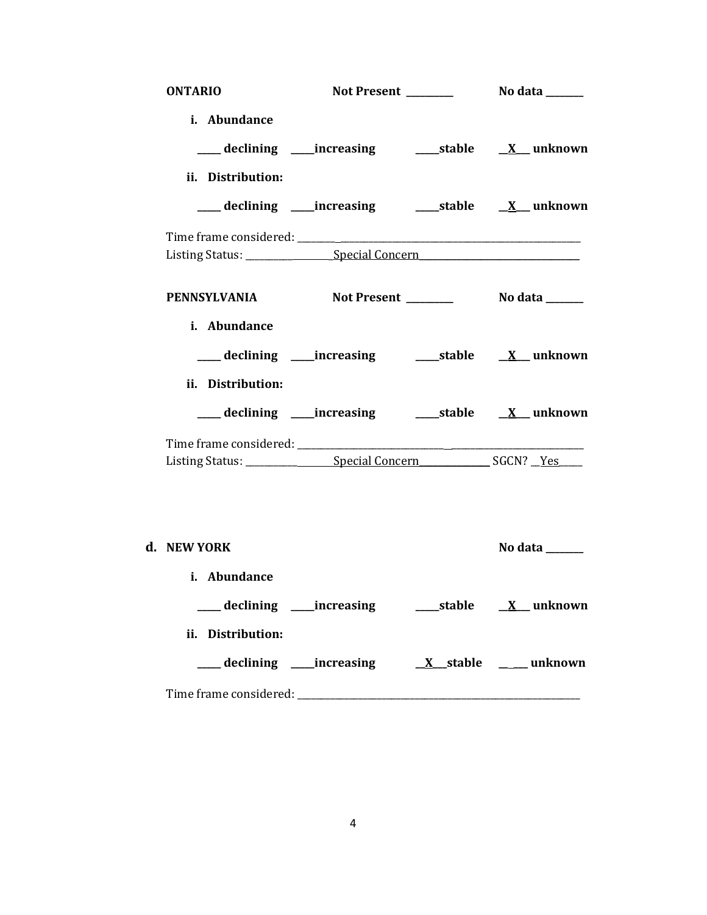| <b>ONTARIO</b>                                    |                                                                                                                                     |                |
|---------------------------------------------------|-------------------------------------------------------------------------------------------------------------------------------------|----------------|
| i. Abundance<br>ii. Distribution:                 | ___ declining ____increasing ______stable ___ <u>X</u> __ unknown<br>___declining ___increasing _____stable ___ <u>X</u> __ unknown |                |
|                                                   |                                                                                                                                     |                |
|                                                   |                                                                                                                                     |                |
| PENNSYLVANIA Not Present _________ No data ______ |                                                                                                                                     |                |
| i. Abundance<br>ii. Distribution:                 | ____ declining ____increasing ________stable ___ <u>X</u> ___ unknown                                                               |                |
|                                                   | ____ declining ____increasing _______stable ____ <u>X</u> ___ unknown                                                               |                |
|                                                   |                                                                                                                                     |                |
| d. NEW YORK<br>i. Abundance                       |                                                                                                                                     | No data ______ |
| ii. Distribution:                                 |                                                                                                                                     |                |
|                                                   |                                                                                                                                     |                |
|                                                   |                                                                                                                                     |                |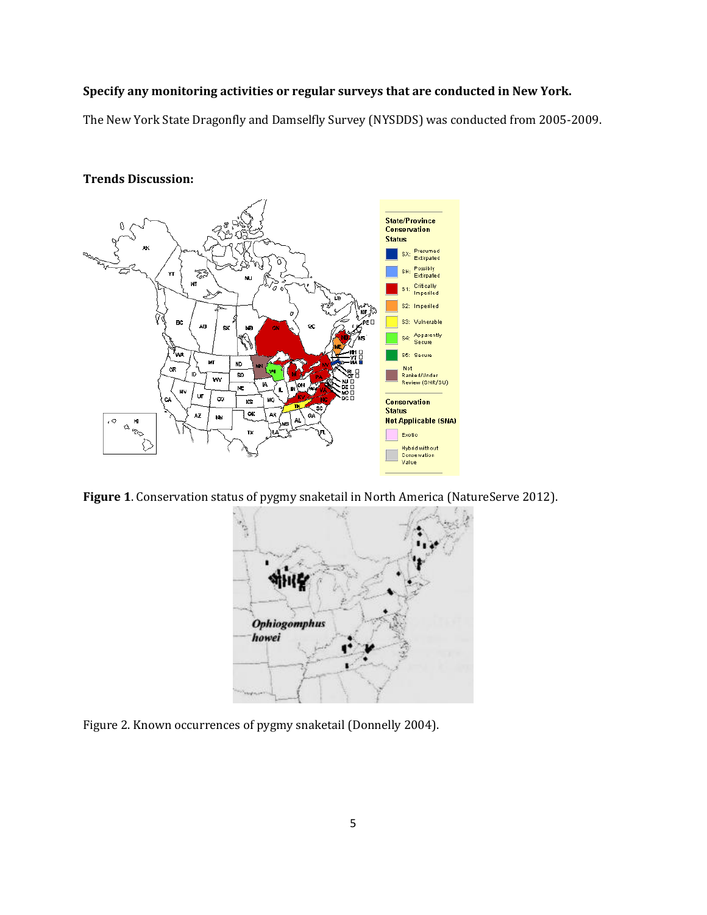## **Specify any monitoring activities or regular surveys that are conducted in New York.**

The New York State Dragonfly and Damselfly Survey (NYSDDS) was conducted from 2005-2009.



## **Trends Discussion:**

**Figure 1**. Conservation status of pygmy snaketail in North America (NatureServe 2012).



Figure 2. Known occurrences of pygmy snaketail (Donnelly 2004).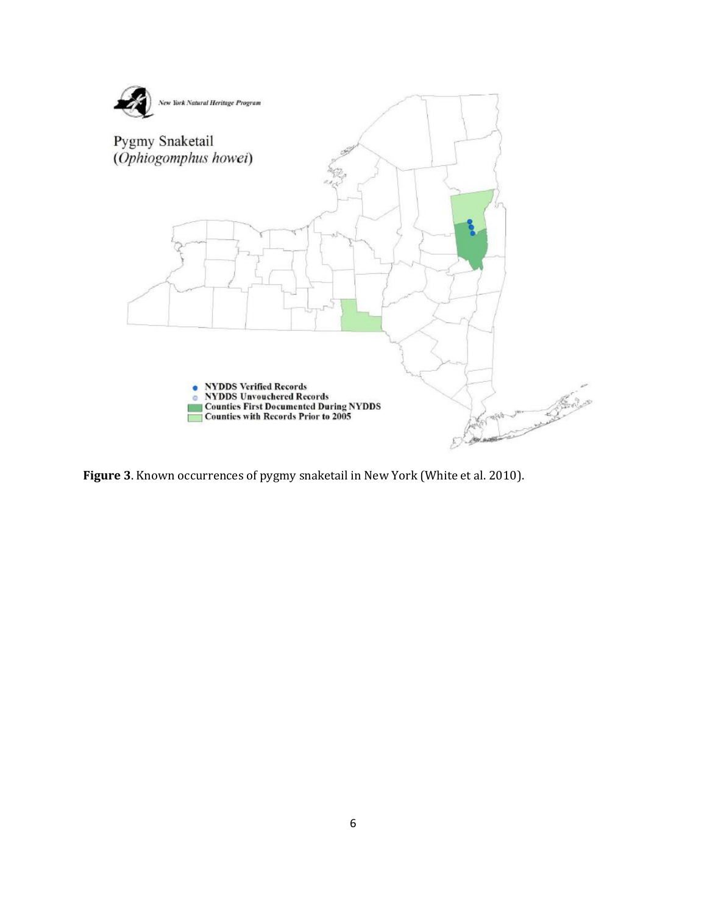

**Figure 3**. Known occurrences of pygmy snaketail in New York (White et al. 2010).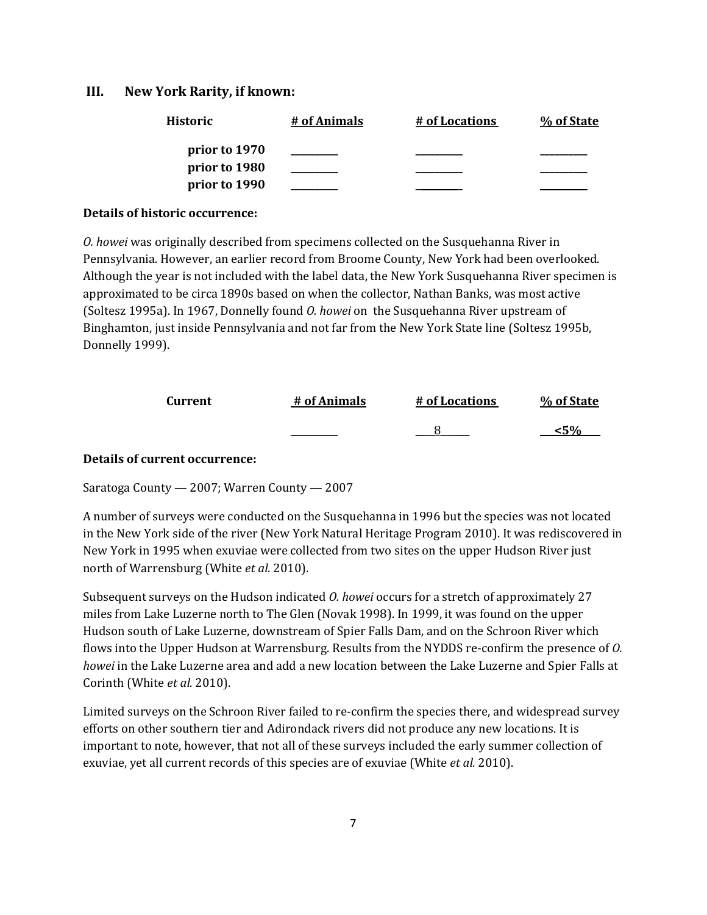## **III. New York Rarity, if known:**

| Historic      | # of Animals | # of Locations | % of State |
|---------------|--------------|----------------|------------|
| prior to 1970 |              |                |            |
| prior to 1980 |              |                |            |
| prior to 1990 |              |                |            |

#### **Details of historic occurrence:**

*O. howei* was originally described from specimens collected on the Susquehanna River in Pennsylvania. However, an earlier record from Broome County, New York had been overlooked. Although the year is not included with the label data, the New York Susquehanna River specimen is approximated to be circa 1890s based on when the collector, Nathan Banks, was most active (Soltesz 1995a). In 1967, Donnelly found *O. howei* on the Susquehanna River upstream of Binghamton, just inside Pennsylvania and not far from the New York State line (Soltesz 1995b, Donnelly 1999).

| Current | # of Animals | # of Locations | % of State |
|---------|--------------|----------------|------------|
|         | _______      |                | 40Z        |

#### **Details of current occurrence:**

Saratoga County — 2007; Warren County — 2007

A number of surveys were conducted on the Susquehanna in 1996 but the species was not located in the New York side of the river (New York Natural Heritage Program 2010). It was rediscovered in New York in 1995 when exuviae were collected from two sites on the upper Hudson River just north of Warrensburg (White *et al.* 2010).

Subsequent surveys on the Hudson indicated *O. howei* occurs for a stretch of approximately 27 miles from Lake Luzerne north to The Glen (Novak 1998). In 1999, it was found on the upper Hudson south of Lake Luzerne, downstream of Spier Falls Dam, and on the Schroon River which flows into the Upper Hudson at Warrensburg. Results from the NYDDS re-confirm the presence of *O. howei* in the Lake Luzerne area and add a new location between the Lake Luzerne and Spier Falls at Corinth (White *et al.* 2010).

Limited surveys on the Schroon River failed to re-confirm the species there, and widespread survey efforts on other southern tier and Adirondack rivers did not produce any new locations. It is important to note, however, that not all of these surveys included the early summer collection of exuviae, yet all current records of this species are of exuviae (White *et al.* 2010).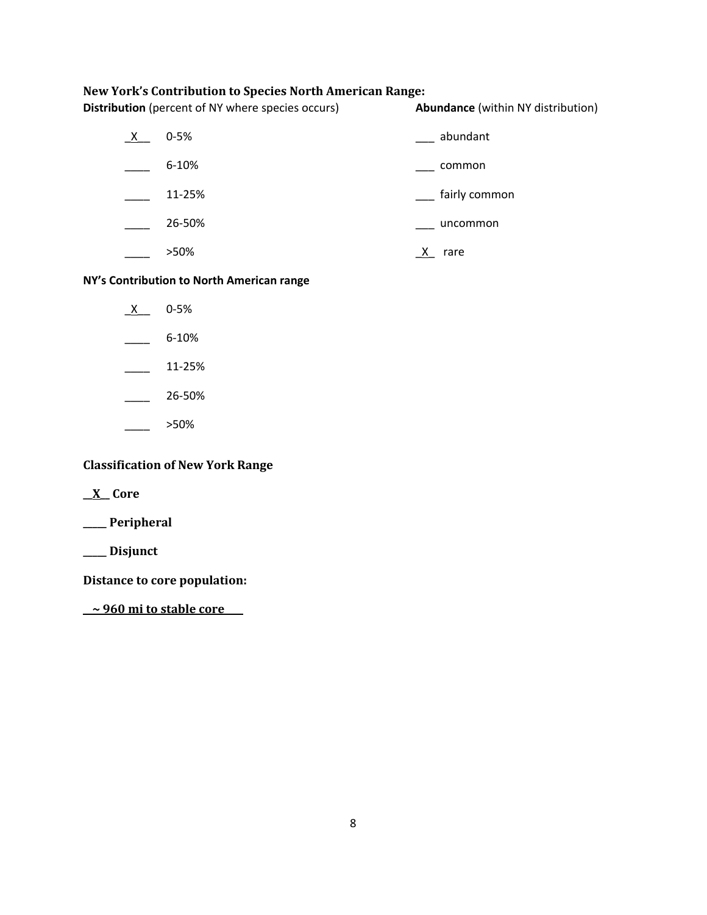## **New York's Contribution to Species North American Range:**

**Distribution** (percent of NY where species occurs) **Abundance** (within NY distribution)

| X | $0 - 5%$  | abundant      |
|---|-----------|---------------|
|   | $6 - 10%$ | common        |
|   | 11-25%    | fairly common |
|   | 26-50%    | uncommon      |
|   | >50%      | rare          |

## **NY's Contribution to North American range**

- $X$  0-5%
- $-$  6-10%
- $\frac{11-25\%}{2\%}$
- $26 50\%$
- $\frac{\ }{\ }$  >50%

## **Classification of New York Range**

**\_\_X\_\_ Core**

**\_\_\_\_\_ Peripheral**

**\_\_\_\_\_ Disjunct**

**Distance to core population:**

**\_\_~ 960 mi to stable core\_\_\_\_**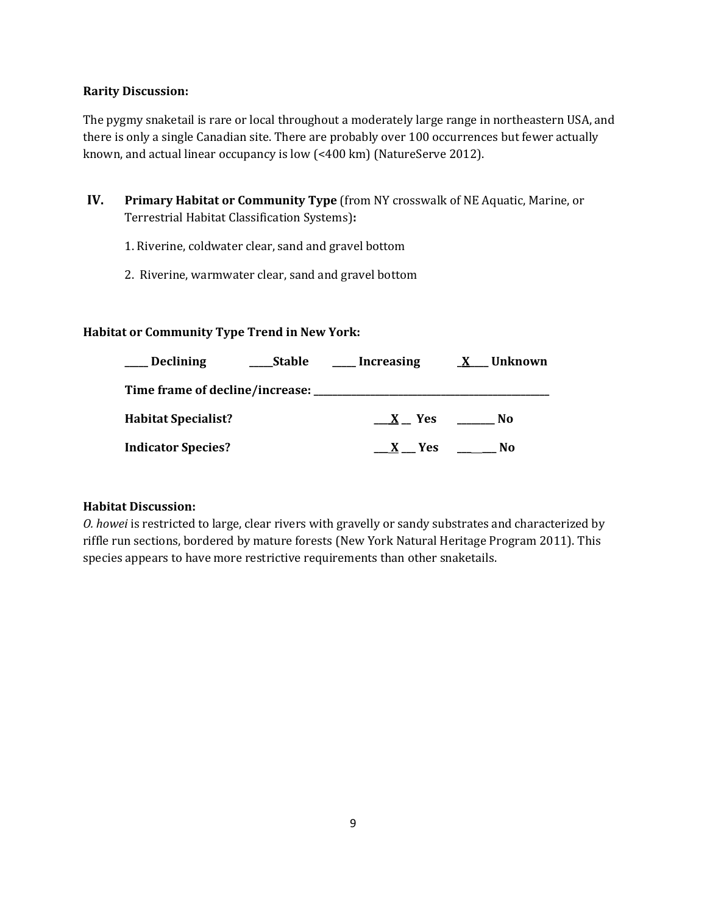## **Rarity Discussion:**

The pygmy snaketail is rare or local throughout a moderately large range in northeastern USA, and there is only a single Canadian site. There are probably over 100 occurrences but fewer actually known, and actual linear occupancy is low (<400 km) (NatureServe 2012).

- **IV. Primary Habitat or Community Type** (from NY crosswalk of NE Aquatic, Marine, or Terrestrial Habitat Classification Systems)**:** 
	- 1. Riverine, coldwater clear, sand and gravel bottom
	- 2. Riverine, warmwater clear, sand and gravel bottom

## **Habitat or Community Type Trend in New York:**

| <b>Declining</b>                       | <b>Stable</b> | <b>Increasing</b> | Unknown |
|----------------------------------------|---------------|-------------------|---------|
| Time frame of decline/increase: ______ |               |                   |         |
| <b>Habitat Specialist?</b>             |               | X Yes             | No      |
| <b>Indicator Species?</b>              |               | <b>Yes</b>        | Nο      |

## **Habitat Discussion:**

*O. howei* is restricted to large, clear rivers with gravelly or sandy substrates and characterized by riffle run sections, bordered by mature forests (New York Natural Heritage Program 2011). This species appears to have more restrictive requirements than other snaketails.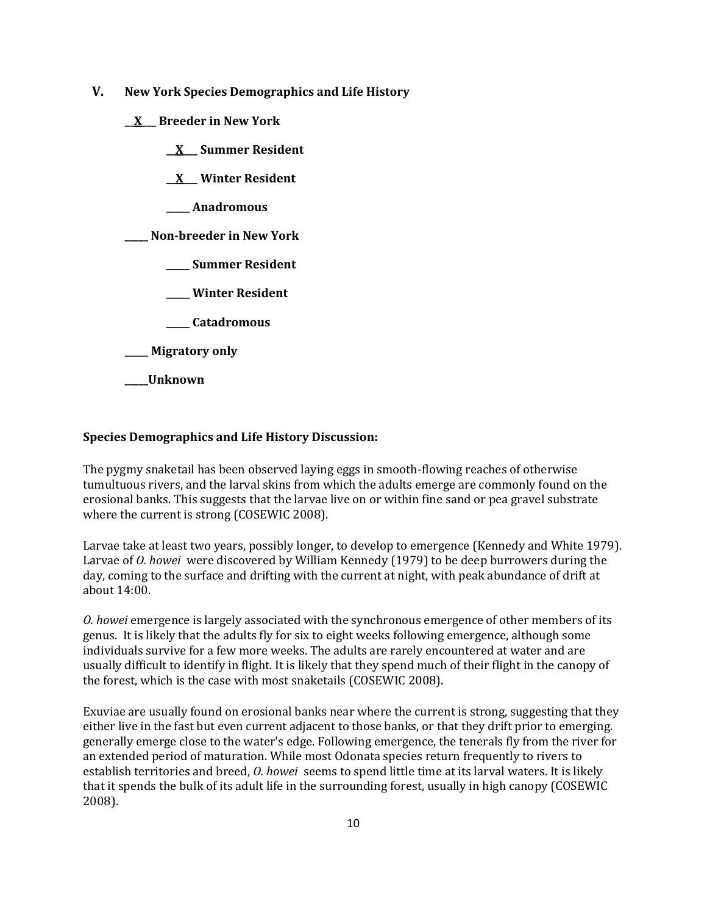- **V. New York Species Demographics and Life History**
	- **\_\_X\_\_\_ Breeder in New York**
		- **\_\_X\_\_\_ Summer Resident**

**\_\_X\_\_\_ Winter Resident**

**\_\_\_\_\_ Anadromous**

**\_\_\_\_\_ Non-breeder in New York**

- **\_\_\_\_\_ Summer Resident**
- **\_\_\_\_\_ Winter Resident**
- **\_\_\_\_\_ Catadromous**
- **\_\_\_\_\_ Migratory only**
- **\_\_\_\_\_Unknown**

## **Species Demographics and Life History Discussion:**

The pygmy snaketail has been observed laying eggs in smooth-flowing reaches of otherwise tumultuous rivers, and the larval skins from which the adults emerge are commonly found on the erosional banks. This suggests that the larvae live on or within fine sand or pea gravel substrate where the current is strong (COSEWIC 2008).

Larvae take at least two years, possibly longer, to develop to emergence (Kennedy and White 1979). Larvae of *O. howei* were discovered by William Kennedy (1979) to be deep burrowers during the day, coming to the surface and drifting with the current at night, with peak abundance of drift at about 14:00.

*O. howei* emergence is largely associated with the synchronous emergence of other members of its genus. It is likely that the adults fly for six to eight weeks following emergence, although some individuals survive for a few more weeks. The adults are rarely encountered at water and are usually difficult to identify in flight. It is likely that they spend much of their flight in the canopy of the forest, which is the case with most snaketails (COSEWIC 2008).

Exuviae are usually found on erosional banks near where the current is strong, suggesting that they either live in the fast but even current adjacent to those banks, or that they drift prior to emerging. generally emerge close to the water's edge. Following emergence, the tenerals fly from the river for an extended period of maturation. While most Odonata species return frequently to rivers to establish territories and breed, *O. howei* seems to spend little time at its larval waters. It is likely that it spends the bulk of its adult life in the surrounding forest, usually in high canopy (COSEWIC 2008).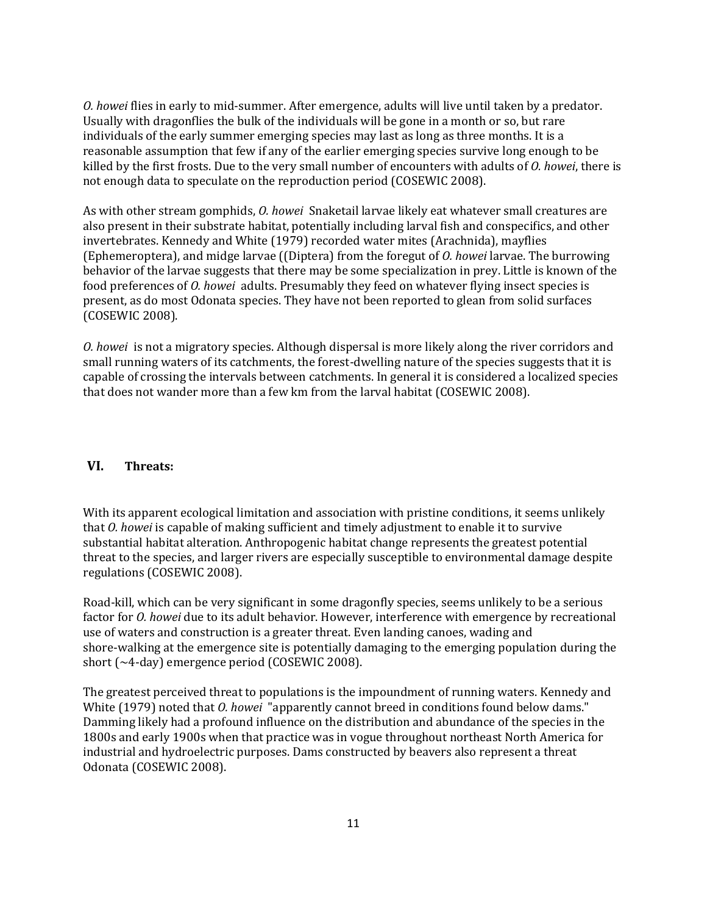*O. howei* flies in early to mid-summer. After emergence, adults will live until taken by a predator. Usually with dragonflies the bulk of the individuals will be gone in a month or so, but rare individuals of the early summer emerging species may last as long as three months. It is a reasonable assumption that few if any of the earlier emerging species survive long enough to be killed by the first frosts. Due to the very small number of encounters with adults of *O. howei*, there is not enough data to speculate on the reproduction period (COSEWIC 2008).

As with other stream gomphids, *O. howei* Snaketail larvae likely eat whatever small creatures are also present in their substrate habitat, potentially including larval fish and conspecifics, and other invertebrates. Kennedy and White (1979) recorded water mites (Arachnida), mayflies (Ephemeroptera), and midge larvae ((Diptera) from the foregut of *O. howei* larvae. The burrowing behavior of the larvae suggests that there may be some specialization in prey. Little is known of the food preferences of *O. howei* adults. Presumably they feed on whatever flying insect species is present, as do most Odonata species. They have not been reported to glean from solid surfaces (COSEWIC 2008).

*O. howei* is not a migratory species. Although dispersal is more likely along the river corridors and small running waters of its catchments, the forest-dwelling nature of the species suggests that it is capable of crossing the intervals between catchments. In general it is considered a localized species that does not wander more than a few km from the larval habitat (COSEWIC 2008).

## **VI. Threats:**

With its apparent ecological limitation and association with pristine conditions, it seems unlikely that *O. howei* is capable of making sufficient and timely adjustment to enable it to survive substantial habitat alteration. Anthropogenic habitat change represents the greatest potential threat to the species, and larger rivers are especially susceptible to environmental damage despite regulations (COSEWIC 2008).

Road-kill, which can be very significant in some dragonfly species, seems unlikely to be a serious factor for *O. howei* due to its adult behavior. However, interference with emergence by recreational use of waters and construction is a greater threat. Even landing canoes, wading and shore-walking at the emergence site is potentially damaging to the emerging population during the short (~4-day) emergence period (COSEWIC 2008).

The greatest perceived threat to populations is the impoundment of running waters. Kennedy and White (1979) noted that *O. howei* "apparently cannot breed in conditions found below dams." Damming likely had a profound influence on the distribution and abundance of the species in the 1800s and early 1900s when that practice was in vogue throughout northeast North America for industrial and hydroelectric purposes. Dams constructed by beavers also represent a threat Odonata (COSEWIC 2008).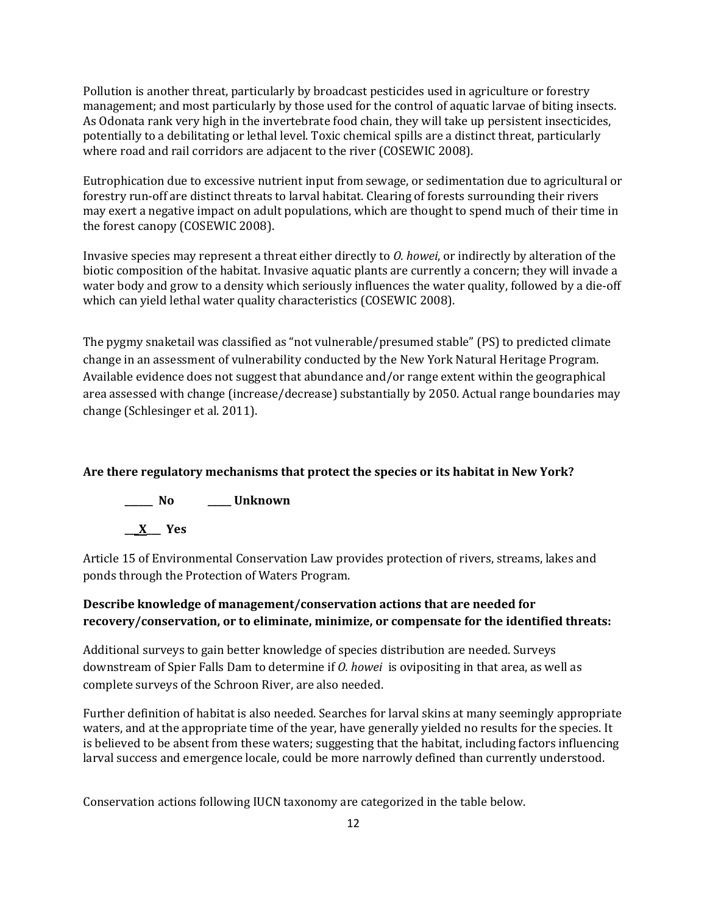Pollution is another threat, particularly by broadcast pesticides used in agriculture or forestry management; and most particularly by those used for the control of aquatic larvae of biting insects. As Odonata rank very high in the invertebrate food chain, they will take up persistent insecticides, potentially to a debilitating or lethal level. Toxic chemical spills are a distinct threat, particularly where road and rail corridors are adjacent to the river (COSEWIC 2008).

Eutrophication due to excessive nutrient input from sewage, or sedimentation due to agricultural or forestry run-off are distinct threats to larval habitat. Clearing of forests surrounding their rivers may exert a negative impact on adult populations, which are thought to spend much of their time in the forest canopy (COSEWIC 2008).

Invasive species may represent a threat either directly to *O. howei*, or indirectly by alteration of the biotic composition of the habitat. Invasive aquatic plants are currently a concern; they will invade a water body and grow to a density which seriously influences the water quality, followed by a die-off which can yield lethal water quality characteristics (COSEWIC 2008).

The pygmy snaketail was classified as "not vulnerable/presumed stable" (PS) to predicted climate change in an assessment of vulnerability conducted by the New York Natural Heritage Program. Available evidence does not suggest that abundance and/or range extent within the geographical area assessed with change (increase/decrease) substantially by 2050. Actual range boundaries may change (Schlesinger et al. 2011).

## **Are there regulatory mechanisms that protect the species or its habitat in New York?**



Article 15 of Environmental Conservation Law provides protection of rivers, streams, lakes and ponds through the Protection of Waters Program.

## **Describe knowledge of management/conservation actions that are needed for recovery/conservation, or to eliminate, minimize, or compensate for the identified threats:**

Additional surveys to gain better knowledge of species distribution are needed. Surveys downstream of Spier Falls Dam to determine if *O. howei* is ovipositing in that area, as well as complete surveys of the Schroon River, are also needed.

Further definition of habitat is also needed. Searches for larval skins at many seemingly appropriate waters, and at the appropriate time of the year, have generally yielded no results for the species. It is believed to be absent from these waters; suggesting that the habitat, including factors influencing larval success and emergence locale, could be more narrowly defined than currently understood.

Conservation actions following IUCN taxonomy are categorized in the table below.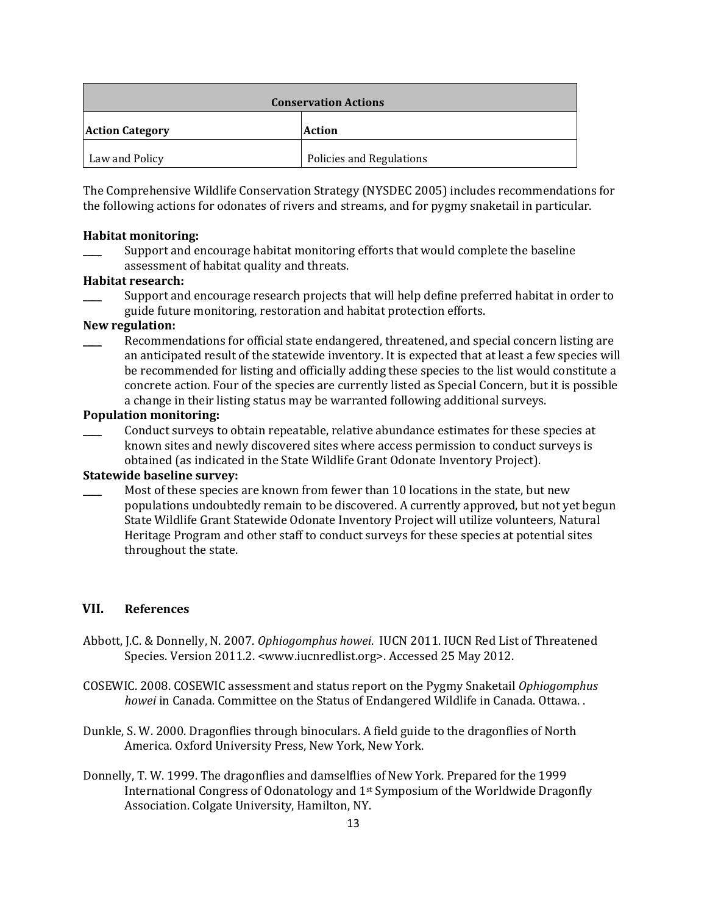| <b>Conservation Actions</b> |                          |  |
|-----------------------------|--------------------------|--|
| <b>Action Category</b>      | <b>Action</b>            |  |
| Law and Policy              | Policies and Regulations |  |

The Comprehensive Wildlife Conservation Strategy (NYSDEC 2005) includes recommendations for the following actions for odonates of rivers and streams, and for pygmy snaketail in particular.

#### **Habitat monitoring:**

Support and encourage habitat monitoring efforts that would complete the baseline assessment of habitat quality and threats.

### **Habitat research:**

Support and encourage research projects that will help define preferred habitat in order to guide future monitoring, restoration and habitat protection efforts.

## **New regulation:**

Recommendations for official state endangered, threatened, and special concern listing are an anticipated result of the statewide inventory. It is expected that at least a few species will be recommended for listing and officially adding these species to the list would constitute a concrete action. Four of the species are currently listed as Special Concern, but it is possible a change in their listing status may be warranted following additional surveys.

### **Population monitoring:**

\_\_\_\_ Conduct surveys to obtain repeatable, relative abundance estimates for these species at known sites and newly discovered sites where access permission to conduct surveys is obtained (as indicated in the State Wildlife Grant Odonate Inventory Project).

#### **Statewide baseline survey:**

Most of these species are known from fewer than 10 locations in the state, but new populations undoubtedly remain to be discovered. A currently approved, but not yet begun State Wildlife Grant Statewide Odonate Inventory Project will utilize volunteers, Natural Heritage Program and other staff to conduct surveys for these species at potential sites throughout the state.

## **VII. References**

- Abbott, J.C. & Donnelly, N. 2007. *Ophiogomphus howei*. IUCN 2011. IUCN Red List of Threatened Species. Version 2011.2. <www.iucnredlist.org>. Accessed 25 May 2012.
- COSEWIC. 2008. COSEWIC assessment and status report on the Pygmy Snaketail *Ophiogomphus howei* in Canada. Committee on the Status of Endangered Wildlife in Canada. Ottawa. .
- Dunkle, S. W. 2000. Dragonflies through binoculars. A field guide to the dragonflies of North America. Oxford University Press, New York, New York.
- Donnelly, T. W. 1999. The dragonflies and damselflies of New York. Prepared for the 1999 International Congress of Odonatology and 1st Symposium of the Worldwide Dragonfly Association. Colgate University, Hamilton, NY.